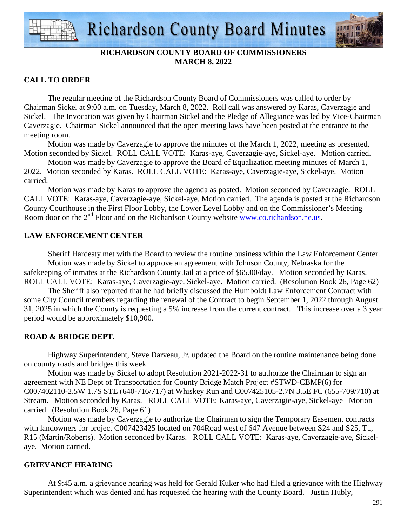



### **RICHARDSON COUNTY BOARD OF COMMISSIONERS MARCH 8, 2022**

### **CALL TO ORDER**

 The regular meeting of the Richardson County Board of Commissioners was called to order by Chairman Sickel at 9:00 a.m. on Tuesday, March 8, 2022. Roll call was answered by Karas, Caverzagie and Sickel. The Invocation was given by Chairman Sickel and the Pledge of Allegiance was led by Vice-Chairman Caverzagie. Chairman Sickel announced that the open meeting laws have been posted at the entrance to the meeting room.

 Motion was made by Caverzagie to approve the minutes of the March 1, 2022, meeting as presented. Motion seconded by Sickel. ROLL CALL VOTE: Karas-aye, Caverzagie-aye, Sickel-aye. Motion carried.

 Motion was made by Caverzagie to approve the Board of Equalization meeting minutes of March 1, 2022. Motion seconded by Karas. ROLL CALL VOTE: Karas-aye, Caverzagie-aye, Sickel-aye. Motion carried.

 Motion was made by Karas to approve the agenda as posted. Motion seconded by Caverzagie. ROLL CALL VOTE: Karas-aye, Caverzagie-aye, Sickel-aye. Motion carried. The agenda is posted at the Richardson County Courthouse in the First Floor Lobby, the Lower Level Lobby and on the Commissioner's Meeting Room door on the 2<sup>nd</sup> Floor and on the Richardson County website www.co.richardson.ne.us.

### **LAW ENFORCEMENT CENTER**

 Sheriff Hardesty met with the Board to review the routine business within the Law Enforcement Center. Motion was made by Sickel to approve an agreement with Johnson County, Nebraska for the safekeeping of inmates at the Richardson County Jail at a price of \$65.00/day. Motion seconded by Karas. ROLL CALL VOTE: Karas-aye, Caverzagie-aye, Sickel-aye. Motion carried. (Resolution Book 26, Page 62)

 The Sheriff also reported that he had briefly discussed the Humboldt Law Enforcement Contract with some City Council members regarding the renewal of the Contract to begin September 1, 2022 through August 31, 2025 in which the County is requesting a 5% increase from the current contract. This increase over a 3 year period would be approximately \$10,900.

### **ROAD & BRIDGE DEPT.**

 Highway Superintendent, Steve Darveau, Jr. updated the Board on the routine maintenance being done on county roads and bridges this week.

 Motion was made by Sickel to adopt Resolution 2021-2022-31 to authorize the Chairman to sign an agreement with NE Dept of Transportation for County Bridge Match Project #STWD-CBMP(6) for C007402110-2.5W 1.7S STE (640-716/717) at Whiskey Run and C007425105-2.7N 3.5E FC (655-709/710) at Stream. Motion seconded by Karas. ROLL CALL VOTE: Karas-aye, Caverzagie-aye, Sickel-aye Motion carried. (Resolution Book 26, Page 61)

 Motion was made by Caverzagie to authorize the Chairman to sign the Temporary Easement contracts with landowners for project C007423425 located on 704Road west of 647 Avenue between S24 and S25, T1, R15 (Martin/Roberts). Motion seconded by Karas. ROLL CALL VOTE: Karas-aye, Caverzagie-aye, Sickelaye. Motion carried.

### **GRIEVANCE HEARING**

At 9:45 a.m. a grievance hearing was held for Gerald Kuker who had filed a grievance with the Highway Superintendent which was denied and has requested the hearing with the County Board. Justin Hubly,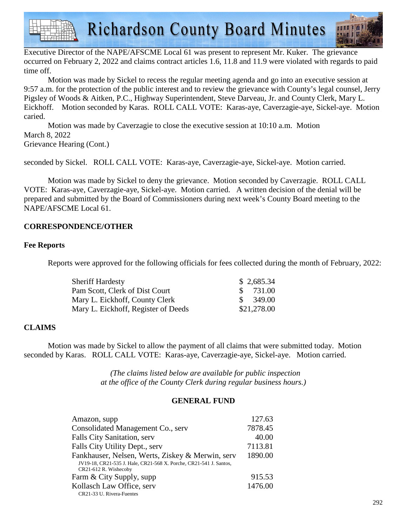**Richardson County Board Minutes** 

Executive Director of the NAPE/AFSCME Local 61 was present to represent Mr. Kuker. The grievance occurred on February 2, 2022 and claims contract articles 1.6, 11.8 and 11.9 were violated with regards to paid time off.

 Motion was made by Sickel to recess the regular meeting agenda and go into an executive session at 9:57 a.m. for the protection of the public interest and to review the grievance with County's legal counsel, Jerry Pigsley of Woods & Aitken, P.C., Highway Superintendent, Steve Darveau, Jr. and County Clerk, Mary L. Eickhoff. Motion seconded by Karas. ROLL CALL VOTE: Karas-aye, Caverzagie-aye, Sickel-aye. Motion caried.

 Motion was made by Caverzagie to close the executive session at 10:10 a.m. Motion March 8, 2022 Grievance Hearing (Cont.)

seconded by Sickel. ROLL CALL VOTE: Karas-aye, Caverzagie-aye, Sickel-aye. Motion carried.

 Motion was made by Sickel to deny the grievance. Motion seconded by Caverzagie. ROLL CALL VOTE: Karas-aye, Caverzagie-aye, Sickel-aye. Motion carried. A written decision of the denial will be prepared and submitted by the Board of Commissioners during next week's County Board meeting to the NAPE/AFSCME Local 61.

### **CORRESPONDENCE/OTHER**

### **Fee Reports**

Reports were approved for the following officials for fees collected during the month of February, 2022:

| <b>Sheriff Hardesty</b>             | \$2,685.34    |
|-------------------------------------|---------------|
| Pam Scott, Clerk of Dist Court      | 731.00        |
| Mary L. Eickhoff, County Clerk      | 349.00<br>SS. |
| Mary L. Eickhoff, Register of Deeds | \$21,278.00   |

### **CLAIMS**

Motion was made by Sickel to allow the payment of all claims that were submitted today. Motion seconded by Karas. ROLL CALL VOTE: Karas-aye, Caverzagie-aye, Sickel-aye. Motion carried.

> *(The claims listed below are available for public inspection at the office of the County Clerk during regular business hours.)*

### **GENERAL FUND**

| Amazon, supp                                                                                                                                    | 127.63  |
|-------------------------------------------------------------------------------------------------------------------------------------------------|---------|
| Consolidated Management Co., serv                                                                                                               | 7878.45 |
| Falls City Sanitation, serv                                                                                                                     | 40.00   |
| Falls City Utility Dept., serv                                                                                                                  | 7113.81 |
| Fankhauser, Nelsen, Werts, Ziskey & Merwin, serv<br>JV19-18, CR21-535 J. Hale, CR21-568 X. Porche, CR21-541 J. Santos,<br>CR21-612 R. Wishecoby | 1890.00 |
| Farm & City Supply, supp                                                                                                                        | 915.53  |
| Kollasch Law Office, serv<br>CR21-33 U. Rivera-Fuentes                                                                                          | 1476.00 |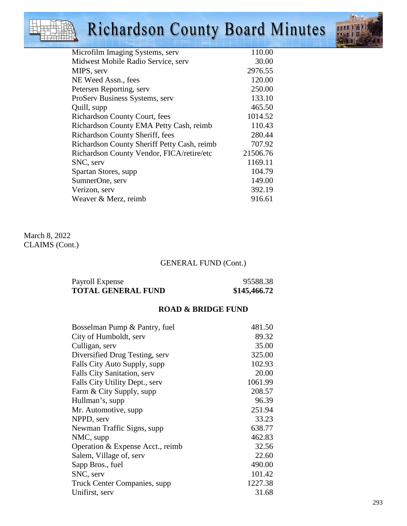## Richardson County Board Minutes



| Microfilm Imaging Systems, serv             | 110.00   |
|---------------------------------------------|----------|
| Midwest Mobile Radio Service, serv          | 30.00    |
| MIPS, serv                                  | 2976.55  |
| NE Weed Assn., fees                         | 120.00   |
| Petersen Reporting, serv                    | 250.00   |
| ProServ Business Systems, serv              | 133.10   |
| Quill, supp                                 | 465.50   |
| <b>Richardson County Court, fees</b>        | 1014.52  |
| Richardson County EMA Petty Cash, reimb     | 110.43   |
| Richardson County Sheriff, fees             | 280.44   |
| Richardson County Sheriff Petty Cash, reimb | 707.92   |
| Richardson County Vendor, FICA/retire/etc   | 21506.76 |
| SNC, serv                                   | 1169.11  |
| Spartan Stores, supp.                       | 104.79   |
| SumnerOne, serv                             | 149.00   |
| Verizon, serv                               | 392.19   |
| Weaver & Merz, reimb                        | 916.61   |
|                                             |          |

### March 8, 2022 CLAIMS (Cont.)

### GENERAL FUND (Cont.)

| Payroll Expense           | 95588.38     |
|---------------------------|--------------|
| <b>TOTAL GENERAL FUND</b> | \$145,466.72 |

### **ROAD & BRIDGE FUND**

| Bosselman Pump & Pantry, fuel    | 481.50  |
|----------------------------------|---------|
| City of Humboldt, serv           | 89.32   |
| Culligan, serv                   | 35.00   |
| Diversified Drug Testing, serv   | 325.00  |
| Falls City Auto Supply, supp     | 102.93  |
| Falls City Sanitation, serv      | 20.00   |
| Falls City Utility Dept., serv   | 1061.99 |
| Farm & City Supply, supp         | 208.57  |
| Hullman's, supp                  | 96.39   |
| Mr. Automotive, supp.            | 251.94  |
| NPPD, serv                       | 33.23   |
| Newman Traffic Signs, supp.      | 638.77  |
| NMC, supp                        | 462.83  |
| Operation & Expense Acct., reimb | 32.56   |
| Salem, Village of, serv          | 22.60   |
| Sapp Bros., fuel                 | 490.00  |
| SNC, serv                        | 101.42  |
| Truck Center Companies, supp.    | 1227.38 |
| Unifirst, serv                   | 31.68   |
|                                  |         |